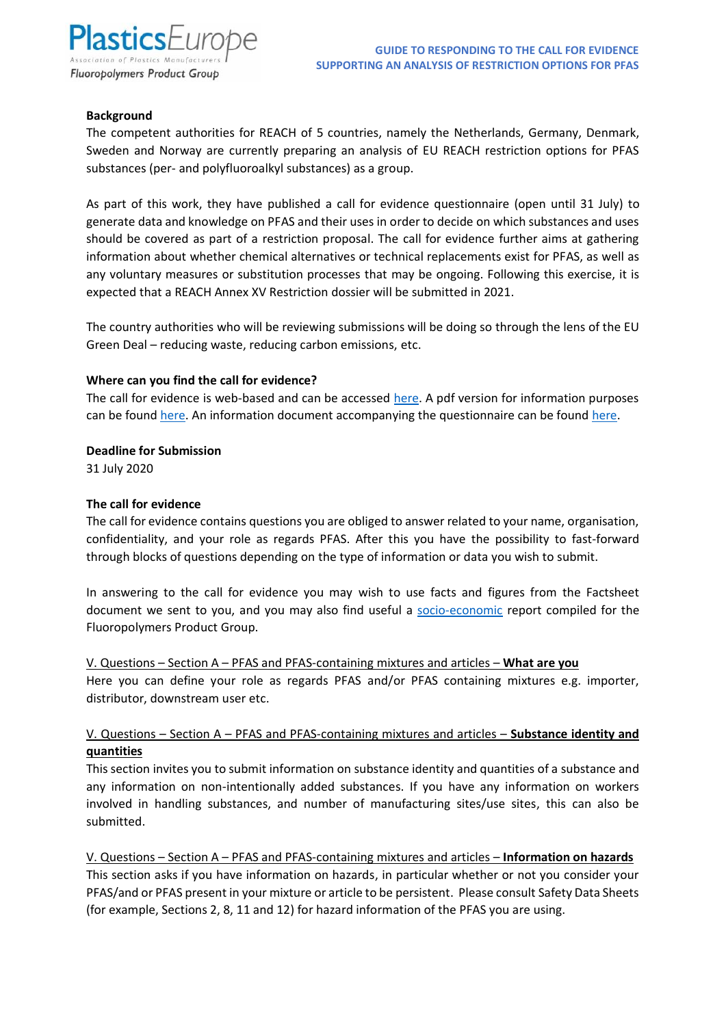

#### **Background**

The competent authorities for REACH of 5 countries, namely the Netherlands, Germany, Denmark, Sweden and Norway are currently preparing an analysis of EU REACH restriction options for PFAS substances (per- and polyfluoroalkyl substances) as a group.

As part of this work, they have published a call for evidence questionnaire (open until 31 July) to generate data and knowledge on PFAS and their uses in order to decide on which substances and uses should be covered as part of a restriction proposal. The call for evidence further aims at gathering information about whether chemical alternatives or technical replacements exist for PFAS, as well as any voluntary measures or substitution processes that may be ongoing. Following this exercise, it is expected that a REACH Annex XV Restriction dossier will be submitted in 2021.

The country authorities who will be reviewing submissions will be doing so through the lens of the EU Green Deal – reducing waste, reducing carbon emissions, etc.

#### **Where can you find the call for evidence?**

The call for evidence is web-based and can be accessed [here.](https://link.webropolsurveys.com/Participation/Public/33cd7e34-f2be-4dac-b10c-faa159f17bf5?displayId=Ger1990245) A pdf version for information purposes can be found [here.](https://www.reach-clp-biozid-helpdesk.de/SharedDocs/Downloads/DE/REACH/Verfahren/PFAS_RMOA_Supplementary_document.html) An information document accompanying the questionnaire can be found here.

**Deadline for Submission**

31 July 2020

### **The call for evidence**

The call for evidence contains questions you are obliged to answer related to your name, organisation, confidentiality, and your role as regards PFAS. After this you have the possibility to fast-forward through blocks of questions depending on the type of information or data you wish to submit.

In answering to the call for evidence you may wish to use facts and figures from the Factsheet document we sent to you, and you may also find useful a [socio-economic](https://www.plasticseurope.org/download_file/force/1660/181) report compiled for the Fluoropolymers Product Group.

#### V. Questions – Section A – PFAS and PFAS-containing mixtures and articles – **What are you**

Here you can define your role as regards PFAS and/or PFAS containing mixtures e.g. importer, distributor, downstream user etc.

## V. Questions – Section A – PFAS and PFAS-containing mixtures and articles – **Substance identity and quantities**

This section invites you to submit information on substance identity and quantities of a substance and any information on non-intentionally added substances. If you have any information on workers involved in handling substances, and number of manufacturing sites/use sites, this can also be submitted.

V. Questions – Section A – PFAS and PFAS-containing mixtures and articles – **Information on hazards** This section asks if you have information on hazards, in particular whether or not you consider your PFAS/and or PFAS present in your mixture or article to be persistent. Please consult Safety Data Sheets (for example, Sections 2, 8, 11 and 12) for hazard information of the PFAS you are using.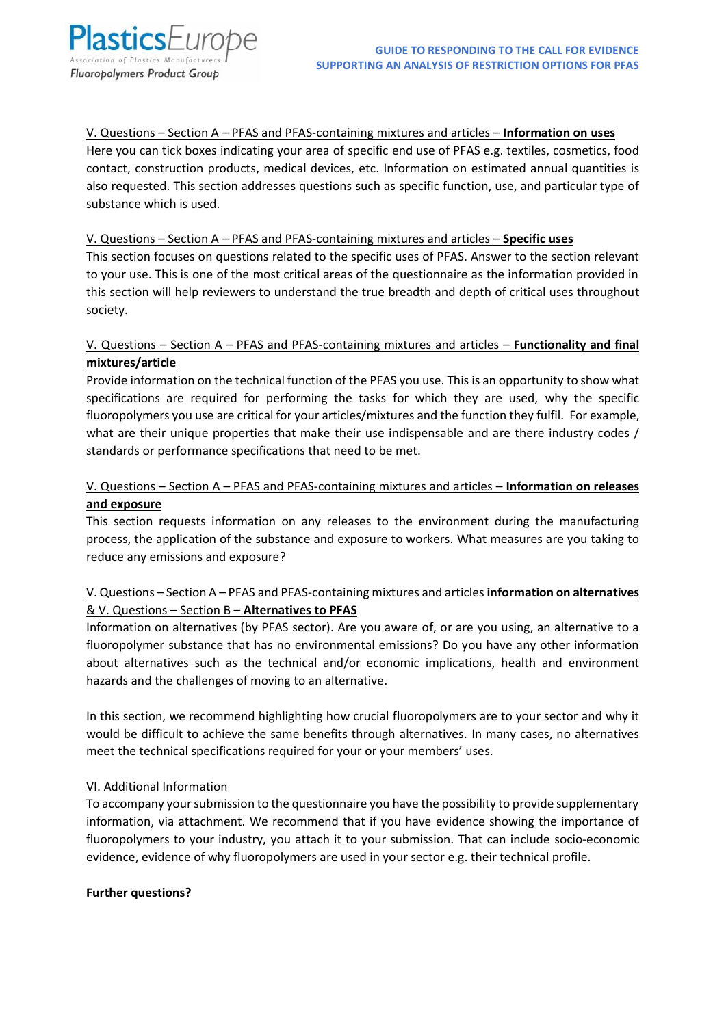V. Questions – Section A – PFAS and PFAS-containing mixtures and articles – **Information on uses**

Here you can tick boxes indicating your area of specific end use of PFAS e.g. textiles, cosmetics, food contact, construction products, medical devices, etc. Information on estimated annual quantities is also requested. This section addresses questions such as specific function, use, and particular type of substance which is used.

## V. Questions – Section A – PFAS and PFAS-containing mixtures and articles – **Specific uses**

This section focuses on questions related to the specific uses of PFAS. Answer to the section relevant to your use. This is one of the most critical areas of the questionnaire as the information provided in this section will help reviewers to understand the true breadth and depth of critical uses throughout society.

# V. Questions – Section A – PFAS and PFAS-containing mixtures and articles – **Functionality and final mixtures/article**

Provide information on the technical function of the PFAS you use. This is an opportunity to show what specifications are required for performing the tasks for which they are used, why the specific fluoropolymers you use are critical for your articles/mixtures and the function they fulfil. For example, what are their unique properties that make their use indispensable and are there industry codes / standards or performance specifications that need to be met.

# V. Questions – Section A – PFAS and PFAS-containing mixtures and articles – **Information on releases and exposure**

This section requests information on any releases to the environment during the manufacturing process, the application of the substance and exposure to workers. What measures are you taking to reduce any emissions and exposure?

# V. Questions – Section A – PFAS and PFAS-containing mixtures and articles **information on alternatives** & V. Questions – Section B – **Alternatives to PFAS**

Information on alternatives (by PFAS sector). Are you aware of, or are you using, an alternative to a fluoropolymer substance that has no environmental emissions? Do you have any other information about alternatives such as the technical and/or economic implications, health and environment hazards and the challenges of moving to an alternative.

In this section, we recommend highlighting how crucial fluoropolymers are to your sector and why it would be difficult to achieve the same benefits through alternatives. In many cases, no alternatives meet the technical specifications required for your or your members' uses.

## VI. Additional Information

To accompany your submission to the questionnaire you have the possibility to provide supplementary information, via attachment. We recommend that if you have evidence showing the importance of fluoropolymers to your industry, you attach it to your submission. That can include socio-economic evidence, evidence of why fluoropolymers are used in your sector e.g. their technical profile.

## **Further questions?**